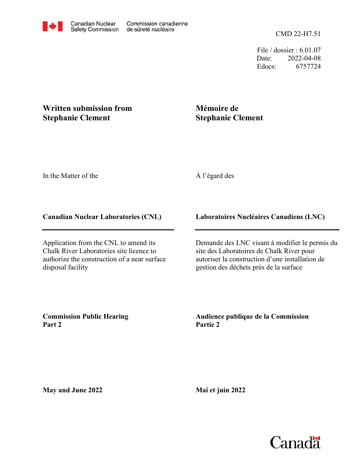File / dossier : 6.01.07 Date: 2022-04-08 Edocs: 6757724

## **Written submission from Stephanie Clement**

# **Mémoire de Stephanie Clement**

In the Matter of the

## À l'égard des

#### **Canadian Nuclear Laboratories (CNL)**

Application from the CNL to amend its Chalk River Laboratories site licence to authorize the construction of a near surface disposal facility

### **Laboratoires Nucléaires Canadiens (LNC)**

Demande des LNC visant à modifier le permis du site des Laboratoires de Chalk River pour autoriser la construction d'une installation de gestion des déchets près de la surface

**Commission Public Hearing Part 2**

**Audience publique de la Commission Partie 2**

**May and June 2022**

**Mai et juin 2022**